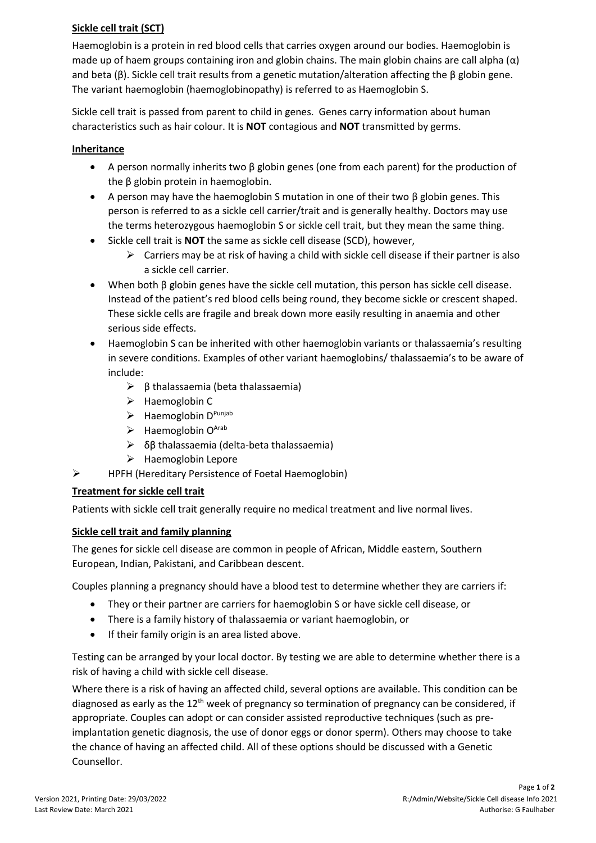# **Sickle cell trait (SCT)**

Haemoglobin is a protein in red blood cells that carries oxygen around our bodies. Haemoglobin is made up of haem groups containing iron and globin chains. The main globin chains are call alpha ( $\alpha$ ) and beta (β). Sickle cell trait results from a genetic mutation/alteration affecting the β globin gene. The variant haemoglobin (haemoglobinopathy) is referred to as Haemoglobin S.

Sickle cell trait is passed from parent to child in genes. Genes carry information about human characteristics such as hair colour. It is **NOT** contagious and **NOT** transmitted by germs.

# **Inheritance**

- A person normally inherits two β globin genes (one from each parent) for the production of the β globin protein in haemoglobin.
- A person may have the haemoglobin S mutation in one of their two β globin genes. This person is referred to as a sickle cell carrier/trait and is generally healthy. Doctors may use the terms heterozygous haemoglobin S or sickle cell trait, but they mean the same thing.
- Sickle cell trait is **NOT** the same as sickle cell disease (SCD), however,
	- $\triangleright$  Carriers may be at risk of having a child with sickle cell disease if their partner is also a sickle cell carrier.
- When both β globin genes have the sickle cell mutation, this person has sickle cell disease. Instead of the patient's red blood cells being round, they become sickle or crescent shaped. These sickle cells are fragile and break down more easily resulting in anaemia and other serious side effects.
- Haemoglobin S can be inherited with other haemoglobin variants or thalassaemia's resulting in severe conditions. Examples of other variant haemoglobins/ thalassaemia's to be aware of include:
	- ➢ β thalassaemia (beta thalassaemia)
	- ➢ Haemoglobin C
	- ➢ Haemoglobin D Punjab
	- $\triangleright$  Haemoglobin O<sup>Arab</sup>
	- $\triangleright$  δβ thalassaemia (delta-beta thalassaemia)
	- ➢ Haemoglobin Lepore
- ➢ HPFH (Hereditary Persistence of Foetal Haemoglobin)

# **Treatment for sickle cell trait**

Patients with sickle cell trait generally require no medical treatment and live normal lives.

# **Sickle cell trait and family planning**

The genes for sickle cell disease are common in people of African, Middle eastern, Southern European, Indian, Pakistani, and Caribbean descent.

Couples planning a pregnancy should have a blood test to determine whether they are carriers if:

- They or their partner are carriers for haemoglobin S or have sickle cell disease, or
- There is a family history of thalassaemia or variant haemoglobin, or
- If their family origin is an area listed above.

Testing can be arranged by your local doctor. By testing we are able to determine whether there is a risk of having a child with sickle cell disease.

Where there is a risk of having an affected child, several options are available. This condition can be diagnosed as early as the  $12<sup>th</sup>$  week of pregnancy so termination of pregnancy can be considered, if appropriate. Couples can adopt or can consider assisted reproductive techniques (such as preimplantation genetic diagnosis, the use of donor eggs or donor sperm). Others may choose to take the chance of having an affected child. All of these options should be discussed with a Genetic Counsellor.